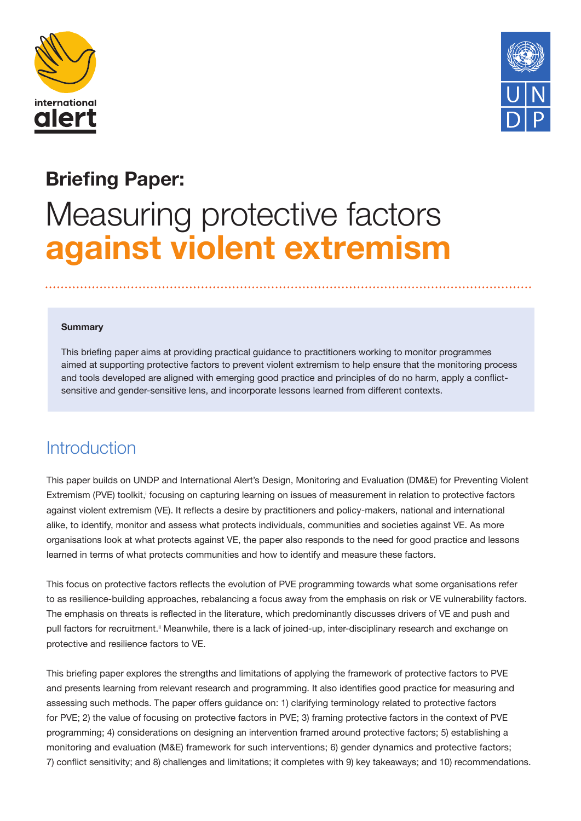



# **Briefing Paper:**

# Measuring protective factors **against violent extremism**

#### **Summary**

This briefing paper aims at providing practical guidance to practitioners working to monitor programmes aimed at supporting protective factors to prevent violent extremism to help ensure that the monitoring process and tools developed are aligned with emerging good practice and principles of do no harm, apply a conflictsensitive and gender-sensitive lens, and incorporate lessons learned from different contexts.

### Introduction

This paper builds on UNDP and International Alert's Design, Monitoring and Evaluation (DM&E) for Preventing Violent Extremism (PVE) toolkit, focusing on capturing learning on issues of measurement in relation to protective factors against violent extremism (VE). It reflects a desire by practitioners and policy-makers, national and international alike, to identify, monitor and assess what protects individuals, communities and societies against VE. As more organisations look at what protects against VE, the paper also responds to the need for good practice and lessons learned in terms of what protects communities and how to identify and measure these factors.

This focus on protective factors reflects the evolution of PVE programming towards what some organisations refer to as resilience-building approaches, rebalancing a focus away from the emphasis on risk or VE vulnerability factors. The emphasis on threats is reflected in the literature, which predominantly discusses drivers of VE and push and pull factors for recruitment.<sup>ii</sup> Meanwhile, there is a lack of joined-up, inter-disciplinary research and exchange on protective and resilience factors to VE.

This briefing paper explores the strengths and limitations of applying the framework of protective factors to PVE and presents learning from relevant research and programming. It also identifies good practice for measuring and assessing such methods. The paper offers guidance on: 1) clarifying terminology related to protective factors for PVE; 2) the value of focusing on protective factors in PVE; 3) framing protective factors in the context of PVE programming; 4) considerations on designing an intervention framed around protective factors; 5) establishing a monitoring and evaluation (M&E) framework for such interventions; 6) gender dynamics and protective factors; 7) conflict sensitivity; and 8) challenges and limitations; it completes with 9) key takeaways; and 10) recommendations.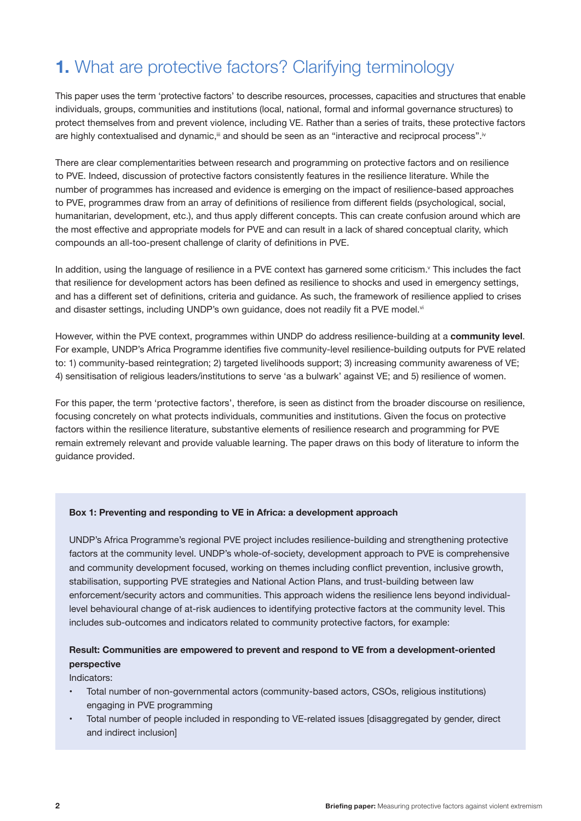# **1.** What are protective factors? Clarifying terminology

This paper uses the term 'protective factors' to describe resources, processes, capacities and structures that enable individuals, groups, communities and institutions (local, national, formal and informal governance structures) to protect themselves from and prevent violence, including VE. Rather than a series of traits, these protective factors are highly contextualised and dynamic,<sup>iii</sup> and should be seen as an "interactive and reciprocal process".<sup>iv</sup>

There are clear complementarities between research and programming on protective factors and on resilience to PVE. Indeed, discussion of protective factors consistently features in the resilience literature. While the number of programmes has increased and evidence is emerging on the impact of resilience-based approaches to PVE, programmes draw from an array of definitions of resilience from different fields (psychological, social, humanitarian, development, etc.), and thus apply different concepts. This can create confusion around which are the most effective and appropriate models for PVE and can result in a lack of shared conceptual clarity, which compounds an all-too-present challenge of clarity of definitions in PVE.

In addition, using the language of resilience in a PVE context has garnered some criticism. $\vee$  This includes the fact that resilience for development actors has been defined as resilience to shocks and used in emergency settings, and has a different set of definitions, criteria and guidance. As such, the framework of resilience applied to crises and disaster settings, including UNDP's own guidance, does not readily fit a PVE model.<sup>vi</sup>

However, within the PVE context, programmes within UNDP do address resilience-building at a **community level**. For example, UNDP's Africa Programme identifies five community-level resilience-building outputs for PVE related to: 1) community-based reintegration; 2) targeted livelihoods support; 3) increasing community awareness of VE; 4) sensitisation of religious leaders/institutions to serve 'as a bulwark' against VE; and 5) resilience of women.

For this paper, the term 'protective factors', therefore, is seen as distinct from the broader discourse on resilience, focusing concretely on what protects individuals, communities and institutions. Given the focus on protective factors within the resilience literature, substantive elements of resilience research and programming for PVE remain extremely relevant and provide valuable learning. The paper draws on this body of literature to inform the guidance provided.

#### **Box 1: Preventing and responding to VE in Africa: a development approach**

UNDP's Africa Programme's regional PVE project includes resilience-building and strengthening protective factors at the community level. UNDP's whole-of-society, development approach to PVE is comprehensive and community development focused, working on themes including conflict prevention, inclusive growth, stabilisation, supporting PVE strategies and National Action Plans, and trust-building between law enforcement/security actors and communities. This approach widens the resilience lens beyond individuallevel behavioural change of at-risk audiences to identifying protective factors at the community level. This includes sub-outcomes and indicators related to community protective factors, for example:

#### **Result: Communities are empowered to prevent and respond to VE from a development-oriented perspective**

Indicators:

- Total number of non-governmental actors (community-based actors, CSOs, religious institutions) engaging in PVE programming
- Total number of people included in responding to VE-related issues [disaggregated by gender, direct and indirect inclusion]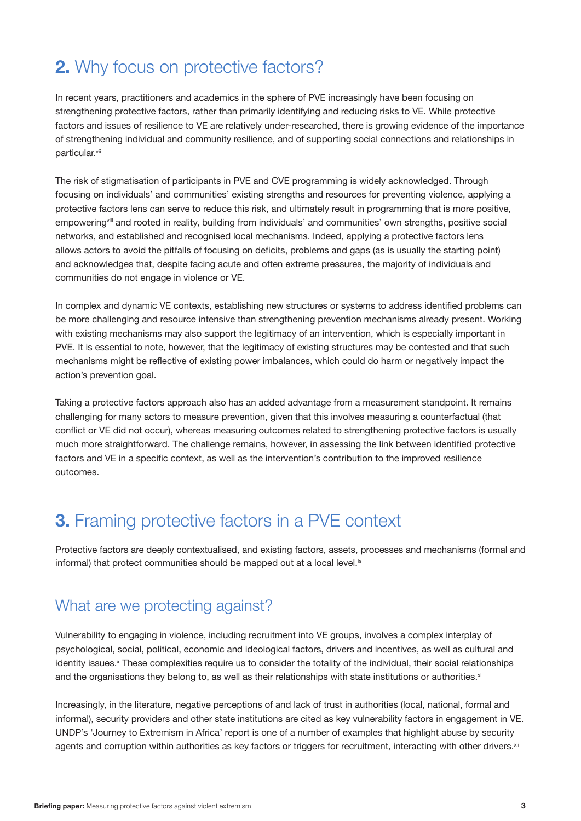# **2.** Why focus on protective factors?

In recent years, practitioners and academics in the sphere of PVE increasingly have been focusing on strengthening protective factors, rather than primarily identifying and reducing risks to VE. While protective factors and issues of resilience to VE are relatively under-researched, there is growing evidence of the importance of strengthening individual and community resilience, and of supporting social connections and relationships in particular.<sup>vii</sup>

The risk of stigmatisation of participants in PVE and CVE programming is widely acknowledged. Through focusing on individuals' and communities' existing strengths and resources for preventing violence, applying a protective factors lens can serve to reduce this risk, and ultimately result in programming that is more positive, empowering<sup>viii</sup> and rooted in reality, building from individuals' and communities' own strengths, positive social networks, and established and recognised local mechanisms. Indeed, applying a protective factors lens allows actors to avoid the pitfalls of focusing on deficits, problems and gaps (as is usually the starting point) and acknowledges that, despite facing acute and often extreme pressures, the majority of individuals and communities do not engage in violence or VE.

In complex and dynamic VE contexts, establishing new structures or systems to address identified problems can be more challenging and resource intensive than strengthening prevention mechanisms already present. Working with existing mechanisms may also support the legitimacy of an intervention, which is especially important in PVE. It is essential to note, however, that the legitimacy of existing structures may be contested and that such mechanisms might be reflective of existing power imbalances, which could do harm or negatively impact the action's prevention goal.

Taking a protective factors approach also has an added advantage from a measurement standpoint. It remains challenging for many actors to measure prevention, given that this involves measuring a counterfactual (that conflict or VE did not occur), whereas measuring outcomes related to strengthening protective factors is usually much more straightforward. The challenge remains, however, in assessing the link between identified protective factors and VE in a specific context, as well as the intervention's contribution to the improved resilience outcomes.

### **3.** Framing protective factors in a PVE context

Protective factors are deeply contextualised, and existing factors, assets, processes and mechanisms (formal and informal) that protect communities should be mapped out at a local level.<sup>ix</sup>

### What are we protecting against?

Vulnerability to engaging in violence, including recruitment into VE groups, involves a complex interplay of psychological, social, political, economic and ideological factors, drivers and incentives, as well as cultural and identity issues.<sup>x</sup> These complexities require us to consider the totality of the individual, their social relationships and the organisations they belong to, as well as their relationships with state institutions or authorities.<sup>xi</sup>

Increasingly, in the literature, negative perceptions of and lack of trust in authorities (local, national, formal and informal), security providers and other state institutions are cited as key vulnerability factors in engagement in VE. UNDP's 'Journey to Extremism in Africa' report is one of a number of examples that highlight abuse by security agents and corruption within authorities as key factors or triggers for recruitment, interacting with other drivers.<sup>xii</sup>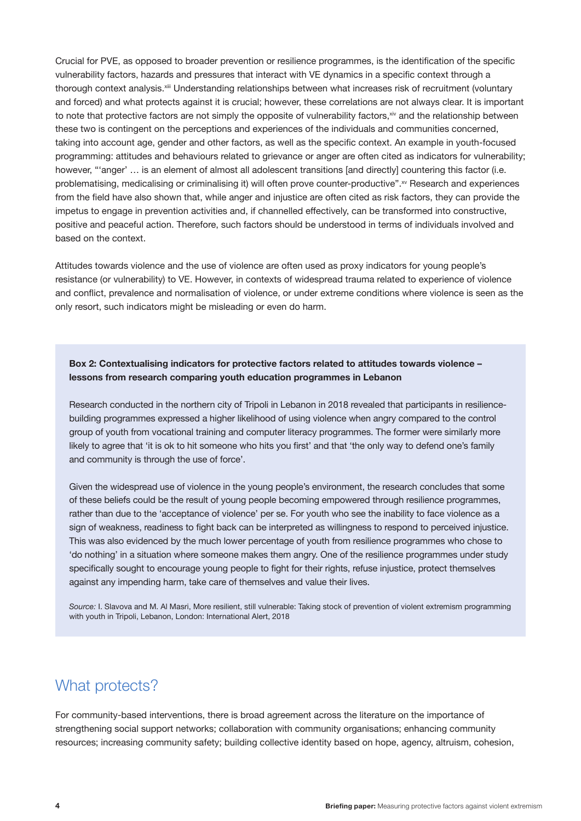Crucial for PVE, as opposed to broader prevention or resilience programmes, is the identification of the specific vulnerability factors, hazards and pressures that interact with VE dynamics in a specific context through a thorough context analysis.<sup>xiii</sup> Understanding relationships between what increases risk of recruitment (voluntary and forced) and what protects against it is crucial; however, these correlations are not always clear. It is important to note that protective factors are not simply the opposite of vulnerability factors, xiv and the relationship between these two is contingent on the perceptions and experiences of the individuals and communities concerned, taking into account age, gender and other factors, as well as the specific context. An example in youth-focused programming: attitudes and behaviours related to grievance or anger are often cited as indicators for vulnerability; however, "'anger' ... is an element of almost all adolescent transitions [and directly] countering this factor (i.e. problematising, medicalising or criminalising it) will often prove counter-productive".<sup>xv</sup> Research and experiences from the field have also shown that, while anger and injustice are often cited as risk factors, they can provide the impetus to engage in prevention activities and, if channelled effectively, can be transformed into constructive, positive and peaceful action. Therefore, such factors should be understood in terms of individuals involved and based on the context.

Attitudes towards violence and the use of violence are often used as proxy indicators for young people's resistance (or vulnerability) to VE. However, in contexts of widespread trauma related to experience of violence and conflict, prevalence and normalisation of violence, or under extreme conditions where violence is seen as the only resort, such indicators might be misleading or even do harm.

**Box 2: Contextualising indicators for protective factors related to attitudes towards violence – lessons from research comparing youth education programmes in Lebanon**

Research conducted in the northern city of Tripoli in Lebanon in 2018 revealed that participants in resiliencebuilding programmes expressed a higher likelihood of using violence when angry compared to the control group of youth from vocational training and computer literacy programmes. The former were similarly more likely to agree that 'it is ok to hit someone who hits you first' and that 'the only way to defend one's family and community is through the use of force'.

Given the widespread use of violence in the young people's environment, the research concludes that some of these beliefs could be the result of young people becoming empowered through resilience programmes, rather than due to the 'acceptance of violence' per se. For youth who see the inability to face violence as a sign of weakness, readiness to fight back can be interpreted as willingness to respond to perceived injustice. This was also evidenced by the much lower percentage of youth from resilience programmes who chose to 'do nothing' in a situation where someone makes them angry. One of the resilience programmes under study specifically sought to encourage young people to fight for their rights, refuse injustice, protect themselves against any impending harm, take care of themselves and value their lives.

*Source:* I. Slavova and M. Al Masri, More resilient, still vulnerable: Taking stock of prevention of violent extremism programming with youth in Tripoli, Lebanon, London: International Alert, 2018

### What protects?

For community-based interventions, there is broad agreement across the literature on the importance of strengthening social support networks; collaboration with community organisations; enhancing community resources; increasing community safety; building collective identity based on hope, agency, altruism, cohesion,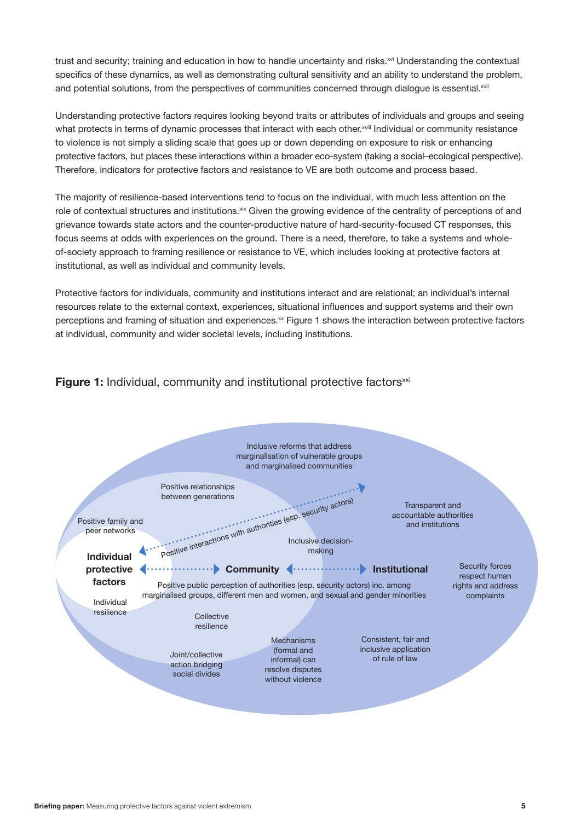trust and security; training and education in how to handle uncertainty and risks.<sup>xvi</sup> Understanding the contextual specifics of these dynamics, as well as demonstrating cultural sensitivity and an ability to understand the problem, and potential solutions, from the perspectives of communities concerned through dialogue is essential.xvii

Understanding protective factors requires looking beyond traits or attributes of individuals and groups and seeing what protects in terms of dynamic processes that interact with each other.<sup>xviii</sup> Individual or community resistance to violence is not simply a sliding scale that goes up or down depending on exposure to risk or enhancing protective factors, but places these interactions within a broader eco-system (taking a social–ecological perspective). Therefore, indicators for protective factors and resistance to VE are both outcome and process based.

The majority of resilience-based interventions tend to focus on the individual, with much less attention on the role of contextual structures and institutions.<sup>xix</sup> Given the growing evidence of the centrality of perceptions of and grievance towards state actors and the counter-productive nature of hard-security-focused CT responses, this focus seems at odds with experiences on the ground. There is a need, therefore, to take a systems and wholeof-society approach to framing resilience or resistance to VE, which includes looking at protective factors at institutional, as well as individual and community levels.

Protective factors for individuals, community and institutions interact and are relational; an individual's internal resources relate to the external context, experiences, situational influences and support systems and their own perceptions and framing of situation and experiences.<sup>xx</sup> Figure 1 shows the interaction between protective factors at individual, community and wider societal levels, including institutions.

#### **Figure 1:** Individual, community and institutional protective factors<sup>xxi</sup>

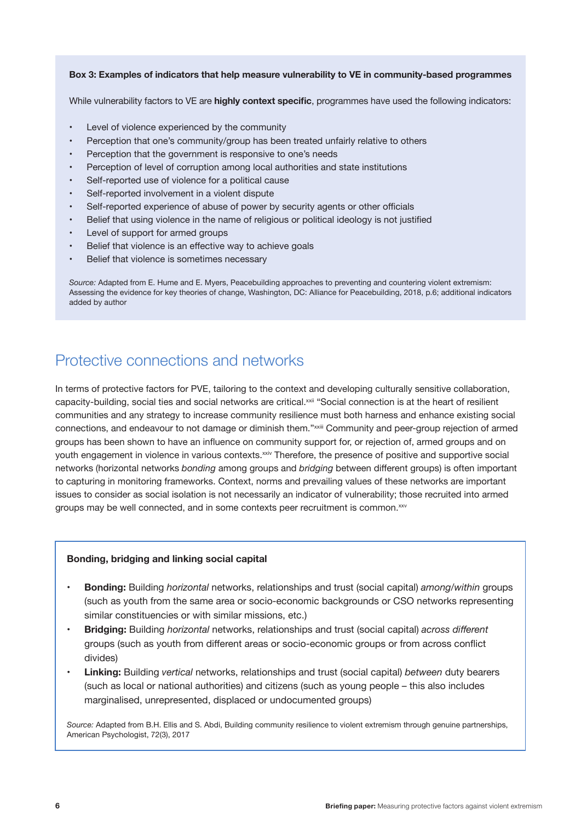#### **Box 3: Examples of indicators that help measure vulnerability to VE in community-based programmes**

While vulnerability factors to VE are **highly context specific**, programmes have used the following indicators:

- Level of violence experienced by the community
- Perception that one's community/group has been treated unfairly relative to others
- Perception that the government is responsive to one's needs
- Perception of level of corruption among local authorities and state institutions
- Self-reported use of violence for a political cause
- Self-reported involvement in a violent dispute
- Self-reported experience of abuse of power by security agents or other officials
- Belief that using violence in the name of religious or political ideology is not justified
- Level of support for armed groups
- Belief that violence is an effective way to achieve goals
- Belief that violence is sometimes necessary

*Source:* Adapted from E. Hume and E. Myers, Peacebuilding approaches to preventing and countering violent extremism: Assessing the evidence for key theories of change, Washington, DC: Alliance for Peacebuilding, 2018, p.6; additional indicators added by author

### Protective connections and networks

In terms of protective factors for PVE, tailoring to the context and developing culturally sensitive collaboration, capacity-building, social ties and social networks are critical.<sup>xxii</sup> "Social connection is at the heart of resilient communities and any strategy to increase community resilience must both harness and enhance existing social connections, and endeavour to not damage or diminish them."xxiii Community and peer-group rejection of armed groups has been shown to have an influence on community support for, or rejection of, armed groups and on youth engagement in violence in various contexts.<sup>xxiv</sup> Therefore, the presence of positive and supportive social networks (horizontal networks *bonding* among groups and *bridging* between different groups) is often important to capturing in monitoring frameworks. Context, norms and prevailing values of these networks are important issues to consider as social isolation is not necessarily an indicator of vulnerability; those recruited into armed groups may be well connected, and in some contexts peer recruitment is common.<sup>xxv</sup>

#### **Bonding, bridging and linking social capital**

- **• Bonding:** Building *horizontal* networks, relationships and trust (social capital) *among/within* groups (such as youth from the same area or socio-economic backgrounds or CSO networks representing similar constituencies or with similar missions, etc.)
- **• Bridging:** Building *horizontal* networks, relationships and trust (social capital) *across different* groups (such as youth from different areas or socio-economic groups or from across conflict divides)
- **• Linking:** Building *vertical* networks, relationships and trust (social capital) *between* duty bearers (such as local or national authorities) and citizens (such as young people – this also includes marginalised, unrepresented, displaced or undocumented groups)

*Source:* Adapted from B.H. Ellis and S. Abdi, Building community resilience to violent extremism through genuine partnerships, American Psychologist, 72(3), 2017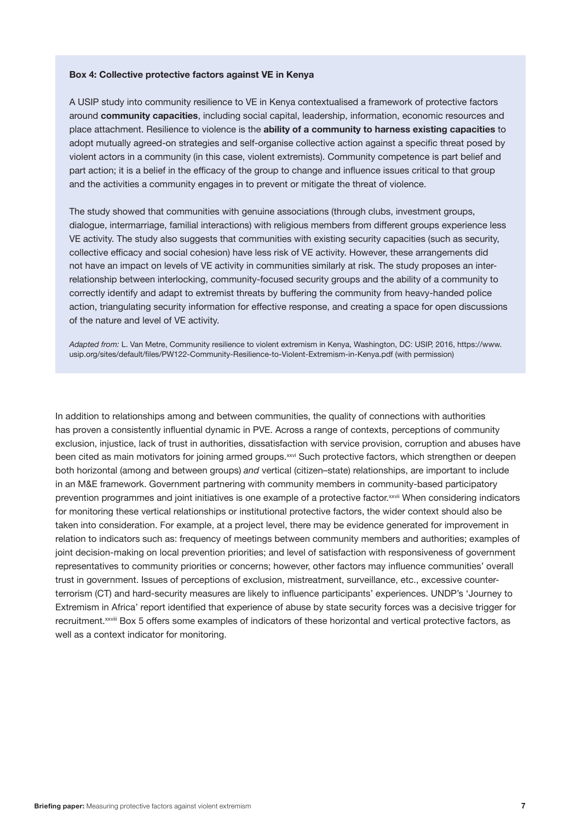#### **Box 4: Collective protective factors against VE in Kenya**

A USIP study into community resilience to VE in Kenya contextualised a framework of protective factors around **community capacities**, including social capital, leadership, information, economic resources and place attachment. Resilience to violence is the **ability of a community to harness existing capacities** to adopt mutually agreed-on strategies and self-organise collective action against a specific threat posed by violent actors in a community (in this case, violent extremists). Community competence is part belief and part action; it is a belief in the efficacy of the group to change and influence issues critical to that group and the activities a community engages in to prevent or mitigate the threat of violence.

The study showed that communities with genuine associations (through clubs, investment groups, dialogue, intermarriage, familial interactions) with religious members from different groups experience less VE activity. The study also suggests that communities with existing security capacities (such as security, collective efficacy and social cohesion) have less risk of VE activity. However, these arrangements did not have an impact on levels of VE activity in communities similarly at risk. The study proposes an interrelationship between interlocking, community-focused security groups and the ability of a community to correctly identify and adapt to extremist threats by buffering the community from heavy-handed police action, triangulating security information for effective response, and creating a space for open discussions of the nature and level of VE activity.

*Adapted from:* L. Van Metre, Community resilience to violent extremism in Kenya, Washington, DC: USIP, 2016, [https://www.](https://www.usip.org/sites/default/files/PW122-Community-Resilience-to-Violent-Extremism-in-Kenya.pdf) [usip.org/sites/default/files/PW122-Community-Resilience-to-Violent-Extremism-in-Kenya.pdf](https://www.usip.org/sites/default/files/PW122-Community-Resilience-to-Violent-Extremism-in-Kenya.pdf) (with permission)

In addition to relationships among and between communities, the quality of connections with authorities has proven a consistently influential dynamic in PVE. Across a range of contexts, perceptions of community exclusion, injustice, lack of trust in authorities, dissatisfaction with service provision, corruption and abuses have been cited as main motivators for joining armed groups.xxvi Such protective factors, which strengthen or deepen both horizontal (among and between groups) *and* vertical (citizen–state) relationships, are important to include in an M&E framework. Government partnering with community members in community-based participatory prevention programmes and joint initiatives is one example of a protective factor.xxvii When considering indicators for monitoring these vertical relationships or institutional protective factors, the wider context should also be taken into consideration. For example, at a project level, there may be evidence generated for improvement in relation to indicators such as: frequency of meetings between community members and authorities; examples of joint decision-making on local prevention priorities; and level of satisfaction with responsiveness of government representatives to community priorities or concerns; however, other factors may influence communities' overall trust in government. Issues of perceptions of exclusion, mistreatment, surveillance, etc., excessive counterterrorism (CT) and hard-security measures are likely to influence participants' experiences. UNDP's 'Journey to Extremism in Africa' report identified that experience of abuse by state security forces was a decisive trigger for recruitment.xxviii Box 5 offers some examples of indicators of these horizontal and vertical protective factors, as well as a context indicator for monitoring.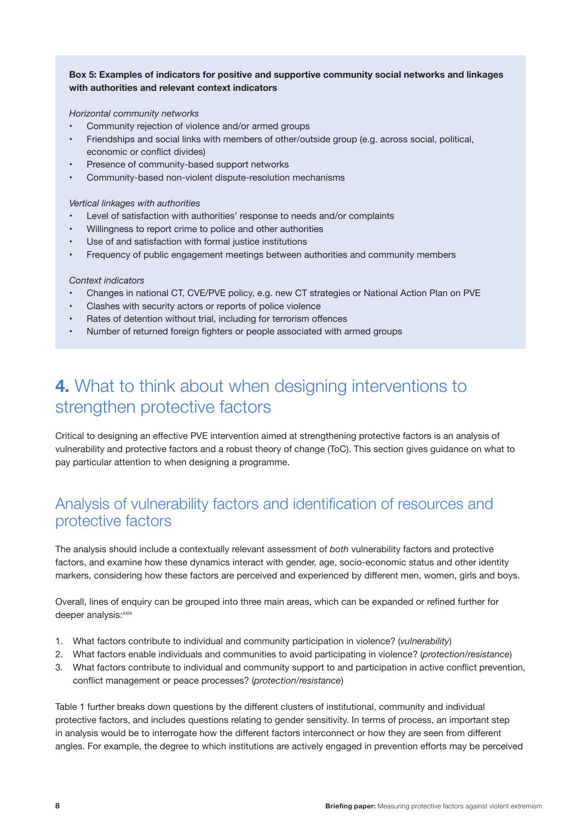#### **Box 5: Examples of indicators for positive and supportive community social networks and linkages with authorities and relevant context indicators**

#### *Horizontal community networks*

- Community rejection of violence and/or armed groups
- Friendships and social links with members of other/outside group (e.g. across social, political, economic or conflict divides)
- Presence of community-based support networks
- Community-based non-violent dispute-resolution mechanisms

#### *Vertical linkages with authorities*

- Level of satisfaction with authorities' response to needs and/or complaints
- Willingness to report crime to police and other authorities
- Use of and satisfaction with formal justice institutions
- Frequency of public engagement meetings between authorities and community members

#### *Context indicators*

- Changes in national CT, CVE/PVE policy, e.g. new CT strategies or National Action Plan on PVE
- Clashes with security actors or reports of police violence
- Rates of detention without trial, including for terrorism offences
- Number of returned foreign fighters or people associated with armed groups

# **4.** What to think about when designing interventions to strengthen protective factors

Critical to designing an effective PVE intervention aimed at strengthening protective factors is an analysis of vulnerability and protective factors and a robust theory of change (ToC). This section gives guidance on what to pay particular attention to when designing a programme.

### Analysis of vulnerability factors and identification of resources and protective factors

The analysis should include a contextually relevant assessment of *both* vulnerability factors and protective factors, and examine how these dynamics interact with gender, age, socio-economic status and other identity markers, considering how these factors are perceived and experienced by different men, women, girls and boys.

Overall, lines of enquiry can be grouped into three main areas, which can be expanded or refined further for deeper analysis: xxix

- 1. What factors contribute to individual and community participation in violence? (*vulnerability*)
- 2. What factors enable individuals and communities to avoid participating in violence? (*protection/resistance*)
- 3. What factors contribute to individual and community support to and participation in active conflict prevention, conflict management or peace processes? (*protection/resistance*)

Table 1 further breaks down questions by the different clusters of institutional, community and individual protective factors, and includes questions relating to gender sensitivity. In terms of process, an important step in analysis would be to interrogate how the different factors interconnect or how they are seen from different angles. For example, the degree to which institutions are actively engaged in prevention efforts may be perceived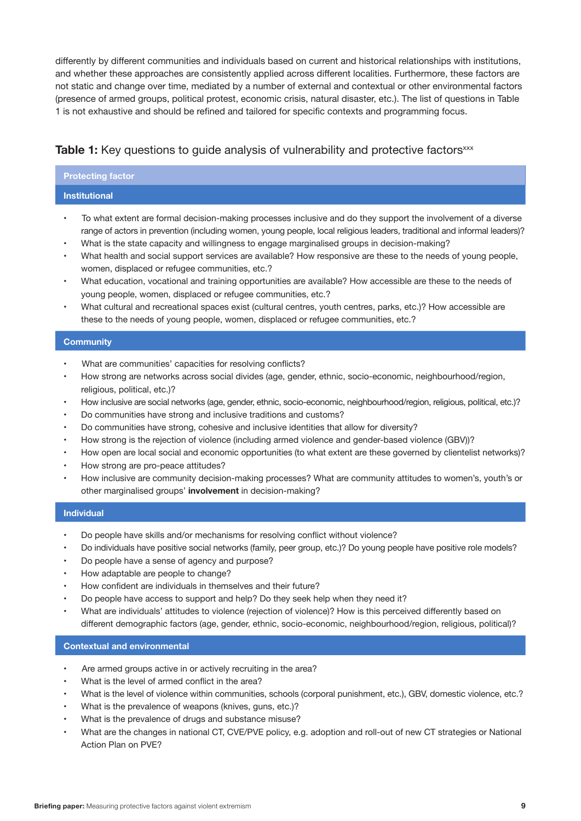differently by different communities and individuals based on current and historical relationships with institutions, and whether these approaches are consistently applied across different localities. Furthermore, these factors are not static and change over time, mediated by a number of external and contextual or other environmental factors (presence of armed groups, political protest, economic crisis, natural disaster, etc.). The list of questions in Table 1 is not exhaustive and should be refined and tailored for specific contexts and programming focus.

#### **Table 1:** Key questions to quide analysis of vulnerability and protective factors<sup>xxx</sup>

#### **Protecting factor**

#### **Institutional**

- To what extent are formal decision-making processes inclusive and do they support the involvement of a diverse range of actors in prevention (including women, young people, local religious leaders, traditional and informal leaders)?
- What is the state capacity and willingness to engage marginalised groups in decision-making?
- What health and social support services are available? How responsive are these to the needs of young people, women, displaced or refugee communities, etc.?
- What education, vocational and training opportunities are available? How accessible are these to the needs of young people, women, displaced or refugee communities, etc.?
- What cultural and recreational spaces exist (cultural centres, youth centres, parks, etc.)? How accessible are these to the needs of young people, women, displaced or refugee communities, etc.?

#### **Community**

- What are communities' capacities for resolving conflicts?
- How strong are networks across social divides (age, gender, ethnic, socio-economic, neighbourhood/region, religious, political, etc.)?
- How inclusive are social networks (age, gender, ethnic, socio-economic, neighbourhood/region, religious, political, etc.)?
- Do communities have strong and inclusive traditions and customs?
- Do communities have strong, cohesive and inclusive identities that allow for diversity?
- How strong is the rejection of violence (including armed violence and gender-based violence (GBV))?
- How open are local social and economic opportunities (to what extent are these governed by clientelist networks)?
- How strong are pro-peace attitudes?
- How inclusive are community decision-making processes? What are community attitudes to women's, youth's or other marginalised groups' **involvement** in decision-making?

#### **Individual**

- Do people have skills and/or mechanisms for resolving conflict without violence?
- Do individuals have positive social networks (family, peer group, etc.)? Do young people have positive role models?
- Do people have a sense of agency and purpose?
- How adaptable are people to change?
- How confident are individuals in themselves and their future?
- Do people have access to support and help? Do they seek help when they need it?
- What are individuals' attitudes to violence (rejection of violence)? How is this perceived differently based on different demographic factors (age, gender, ethnic, socio-economic, neighbourhood/region, religious, political)?

#### **Contextual and environmental**

- Are armed groups active in or actively recruiting in the area?
- What is the level of armed conflict in the area?
- What is the level of violence within communities, schools (corporal punishment, etc.), GBV, domestic violence, etc.?
- What is the prevalence of weapons (knives, guns, etc.)?
- What is the prevalence of drugs and substance misuse?
- What are the changes in national CT, CVE/PVE policy, e.g. adoption and roll-out of new CT strategies or National Action Plan on PVE?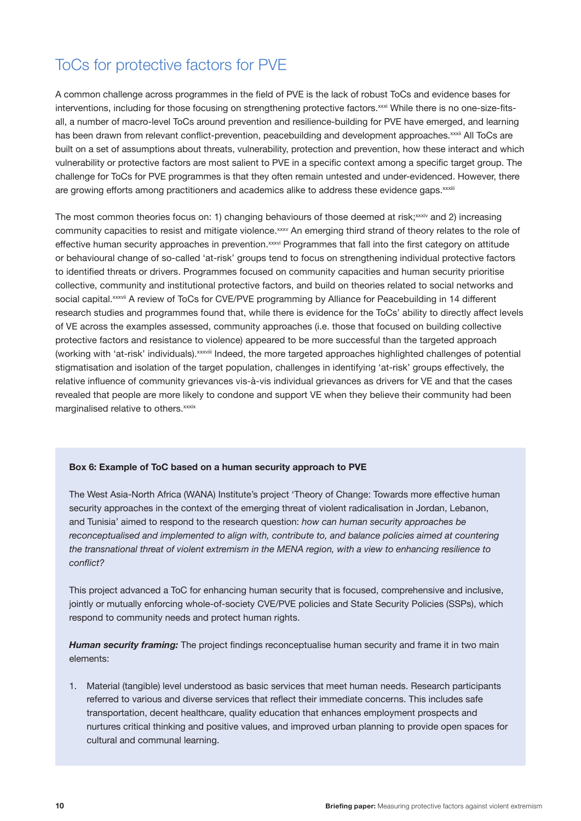### ToCs for protective factors for PVE

A common challenge across programmes in the field of PVE is the lack of robust ToCs and evidence bases for interventions, including for those focusing on strengthening protective factors.<sup>xxxi</sup> While there is no one-size-fitsall, a number of macro-level ToCs around prevention and resilience-building for PVE have emerged, and learning has been drawn from relevant conflict-prevention, peacebuilding and development approaches.<sup>xxxii</sup> All ToCs are built on a set of assumptions about threats, vulnerability, protection and prevention, how these interact and which vulnerability or protective factors are most salient to PVE in a specific context among a specific target group. The challenge for ToCs for PVE programmes is that they often remain untested and under-evidenced. However, there are growing efforts among practitioners and academics alike to address these evidence gaps. xxxiii

The most common theories focus on: 1) changing behaviours of those deemed at risk;<sup>xxxiv</sup> and 2) increasing community capacities to resist and mitigate violence.xxxv An emerging third strand of theory relates to the role of effective human security approaches in prevention.<sup>xxxvi</sup> Programmes that fall into the first category on attitude or behavioural change of so-called 'at-risk' groups tend to focus on strengthening individual protective factors to identified threats or drivers. Programmes focused on community capacities and human security prioritise collective, community and institutional protective factors, and build on theories related to social networks and social capital.xxxvii A review of ToCs for CVE/PVE programming by Alliance for Peacebuilding in 14 different research studies and programmes found that, while there is evidence for the ToCs' ability to directly affect levels of VE across the examples assessed, community approaches (i.e. those that focused on building collective protective factors and resistance to violence) appeared to be more successful than the targeted approach (working with 'at-risk' individuals).xxxviii Indeed, the more targeted approaches highlighted challenges of potential stigmatisation and isolation of the target population, challenges in identifying 'at-risk' groups effectively, the relative influence of community grievances vis-à-vis individual grievances as drivers for VE and that the cases revealed that people are more likely to condone and support VE when they believe their community had been marginalised relative to others.xxxix

#### **Box 6: Example of ToC based on a human security approach to PVE**

The West Asia-North Africa (WANA) Institute's project 'Theory of Change: Towards more effective human security approaches in the context of the emerging threat of violent radicalisation in Jordan, Lebanon, and Tunisia' aimed to respond to the research question: *how can human security approaches be reconceptualised and implemented to align with, contribute to, and balance policies aimed at countering the transnational threat of violent extremism in the MENA region, with a view to enhancing resilience to conflict?* 

This project advanced a ToC for enhancing human security that is focused, comprehensive and inclusive, jointly or mutually enforcing whole-of-society CVE/PVE policies and State Security Policies (SSPs), which respond to community needs and protect human rights.

*Human security framing:* The project findings reconceptualise human security and frame it in two main elements:

1. Material (tangible) level understood as basic services that meet human needs. Research participants referred to various and diverse services that reflect their immediate concerns. This includes safe transportation, decent healthcare, quality education that enhances employment prospects and nurtures critical thinking and positive values, and improved urban planning to provide open spaces for cultural and communal learning.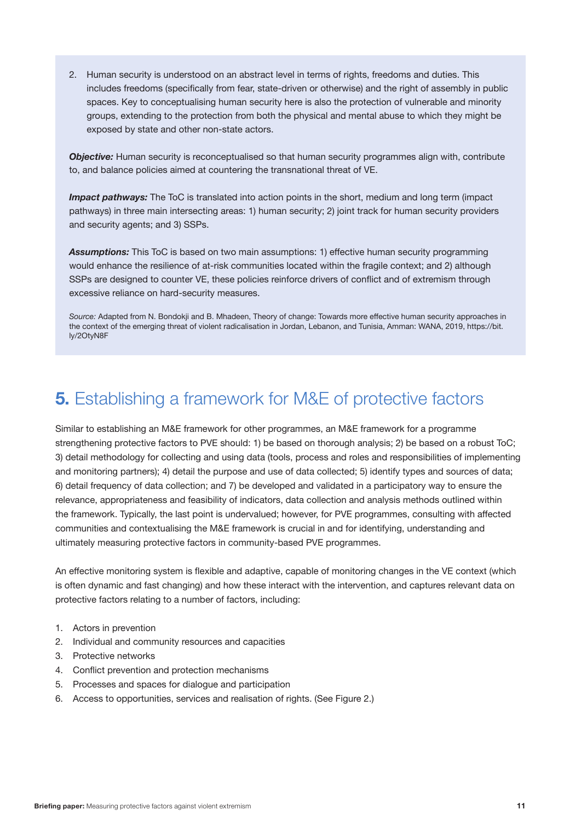2. Human security is understood on an abstract level in terms of rights, freedoms and duties. This includes freedoms (specifically from fear, state-driven or otherwise) and the right of assembly in public spaces. Key to conceptualising human security here is also the protection of vulnerable and minority groups, extending to the protection from both the physical and mental abuse to which they might be exposed by state and other non-state actors.

*Objective:* Human security is reconceptualised so that human security programmes align with, contribute to, and balance policies aimed at countering the transnational threat of VE.

*Impact pathways:* The ToC is translated into action points in the short, medium and long term (impact pathways) in three main intersecting areas: 1) human security; 2) joint track for human security providers and security agents; and 3) SSPs.

*Assumptions:* This ToC is based on two main assumptions: 1) effective human security programming would enhance the resilience of at-risk communities located within the fragile context; and 2) although SSPs are designed to counter VE, these policies reinforce drivers of conflict and of extremism through excessive reliance on hard-security measures.

*Source:* Adapted from N. Bondokji and B. Mhadeen, Theory of change: Towards more effective human security approaches in the context of the emerging threat of violent radicalisation in Jordan, Lebanon, and Tunisia, Amman: WANA, 2019, [https://bit.](http://wanainstitute.org/sites/default/files/publications/Theory%20of%20Change-%20Human%20Security_0.pdf) [ly/2OtyN8F](http://wanainstitute.org/sites/default/files/publications/Theory%20of%20Change-%20Human%20Security_0.pdf)

# **5.** Establishing a framework for M&E of protective factors

Similar to establishing an M&E framework for other programmes, an M&E framework for a programme strengthening protective factors to PVE should: 1) be based on thorough analysis; 2) be based on a robust ToC; 3) detail methodology for collecting and using data (tools, process and roles and responsibilities of implementing and monitoring partners); 4) detail the purpose and use of data collected; 5) identify types and sources of data; 6) detail frequency of data collection; and 7) be developed and validated in a participatory way to ensure the relevance, appropriateness and feasibility of indicators, data collection and analysis methods outlined within the framework. Typically, the last point is undervalued; however, for PVE programmes, consulting with affected communities and contextualising the M&E framework is crucial in and for identifying, understanding and ultimately measuring protective factors in community-based PVE programmes.

An effective monitoring system is flexible and adaptive, capable of monitoring changes in the VE context (which is often dynamic and fast changing) and how these interact with the intervention, and captures relevant data on protective factors relating to a number of factors, including:

- 1. Actors in prevention
- 2. Individual and community resources and capacities
- 3. Protective networks
- 4. Conflict prevention and protection mechanisms
- 5. Processes and spaces for dialogue and participation
- 6. Access to opportunities, services and realisation of rights. (See Figure 2.)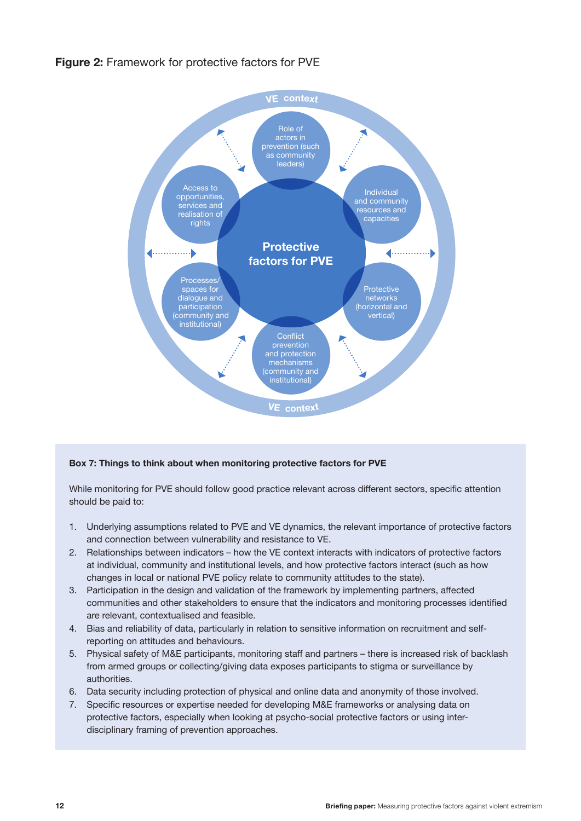#### **Figure 2:** Framework for protective factors for PVE



#### **Box 7: Things to think about when monitoring protective factors for PVE**

While monitoring for PVE should follow good practice relevant across different sectors, specific attention should be paid to:

- 1. Underlying assumptions related to PVE and VE dynamics, the relevant importance of protective factors and connection between vulnerability and resistance to VE.
- 2. Relationships between indicators how the VE context interacts with indicators of protective factors at individual, community and institutional levels, and how protective factors interact (such as how changes in local or national PVE policy relate to community attitudes to the state).
- 3. Participation in the design and validation of the framework by implementing partners, affected communities and other stakeholders to ensure that the indicators and monitoring processes identified are relevant, contextualised and feasible.
- 4. Bias and reliability of data, particularly in relation to sensitive information on recruitment and selfreporting on attitudes and behaviours.
- 5. Physical safety of M&E participants, monitoring staff and partners there is increased risk of backlash from armed groups or collecting/giving data exposes participants to stigma or surveillance by authorities.
- 6. Data security including protection of physical and online data and anonymity of those involved.
- 7. Specific resources or expertise needed for developing M&E frameworks or analysing data on protective factors, especially when looking at psycho-social protective factors or using interdisciplinary framing of prevention approaches.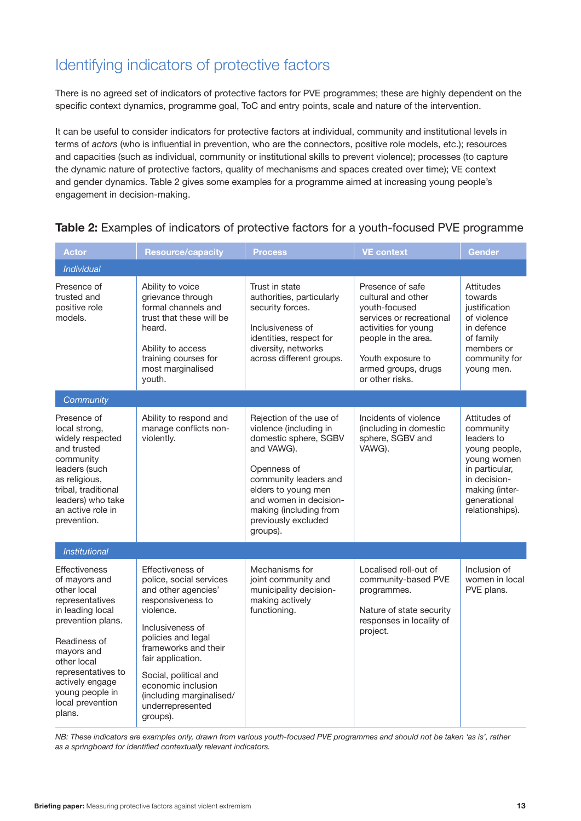### Identifying indicators of protective factors

There is no agreed set of indicators of protective factors for PVE programmes; these are highly dependent on the specific context dynamics, programme goal, ToC and entry points, scale and nature of the intervention.

It can be useful to consider indicators for protective factors at individual, community and institutional levels in terms of *actors* (who is influential in prevention, who are the connectors, positive role models, etc.); resources and capacities (such as individual, community or institutional skills to prevent violence); processes (to capture the dynamic nature of protective factors, quality of mechanisms and spaces created over time); VE context and gender dynamics. Table 2 gives some examples for a programme aimed at increasing young people's engagement in decision-making.

| Actor                                                                                                                                                                                                                                                   | <b>Resource/capacity</b>                                                                                                                                                                                                                                                                                      | <b>Process</b>                                                                                                                                                                                                                                 | <b>VE context</b>                                                                                                                                                                                 | Gender                                                                                                                                                         |
|---------------------------------------------------------------------------------------------------------------------------------------------------------------------------------------------------------------------------------------------------------|---------------------------------------------------------------------------------------------------------------------------------------------------------------------------------------------------------------------------------------------------------------------------------------------------------------|------------------------------------------------------------------------------------------------------------------------------------------------------------------------------------------------------------------------------------------------|---------------------------------------------------------------------------------------------------------------------------------------------------------------------------------------------------|----------------------------------------------------------------------------------------------------------------------------------------------------------------|
| <b>Individual</b>                                                                                                                                                                                                                                       |                                                                                                                                                                                                                                                                                                               |                                                                                                                                                                                                                                                |                                                                                                                                                                                                   |                                                                                                                                                                |
| Presence of<br>trusted and<br>positive role<br>models.                                                                                                                                                                                                  | Ability to voice<br>grievance through<br>formal channels and<br>trust that these will be<br>heard.<br>Ability to access<br>training courses for<br>most marginalised<br>youth.                                                                                                                                | Trust in state<br>authorities, particularly<br>security forces.<br>Inclusiveness of<br>identities, respect for<br>diversity, networks<br>across different groups.                                                                              | Presence of safe<br>cultural and other<br>youth-focused<br>services or recreational<br>activities for young<br>people in the area.<br>Youth exposure to<br>armed groups, drugs<br>or other risks. | <b>Attitudes</b><br>towards<br>justification<br>of violence<br>in defence<br>of family<br>members or<br>community for<br>young men.                            |
| Community                                                                                                                                                                                                                                               |                                                                                                                                                                                                                                                                                                               |                                                                                                                                                                                                                                                |                                                                                                                                                                                                   |                                                                                                                                                                |
| Presence of<br>local strong,<br>widely respected<br>and trusted<br>community<br>leaders (such<br>as religious,<br>tribal, traditional<br>leaders) who take<br>an active role in<br>prevention.                                                          | Ability to respond and<br>manage conflicts non-<br>violently.                                                                                                                                                                                                                                                 | Rejection of the use of<br>violence (including in<br>domestic sphere, SGBV<br>and VAWG).<br>Openness of<br>community leaders and<br>elders to young men<br>and women in decision-<br>making (including from<br>previously excluded<br>groups). | Incidents of violence<br>(including in domestic<br>sphere, SGBV and<br>VAWG).                                                                                                                     | Attitudes of<br>community<br>leaders to<br>young people,<br>young women<br>in particular,<br>in decision-<br>making (inter-<br>generational<br>relationships). |
| <b>Institutional</b>                                                                                                                                                                                                                                    |                                                                                                                                                                                                                                                                                                               |                                                                                                                                                                                                                                                |                                                                                                                                                                                                   |                                                                                                                                                                |
| <b>Effectiveness</b><br>of mayors and<br>other local<br>representatives<br>in leading local<br>prevention plans.<br>Readiness of<br>mayors and<br>other local<br>representatives to<br>actively engage<br>young people in<br>local prevention<br>plans. | <b>Effectiveness of</b><br>police, social services<br>and other agencies'<br>responsiveness to<br>violence.<br>Inclusiveness of<br>policies and legal<br>frameworks and their<br>fair application.<br>Social, political and<br>economic inclusion<br>(including marginalised/<br>underrepresented<br>groups). | Mechanisms for<br>joint community and<br>municipality decision-<br>making actively<br>functioning.                                                                                                                                             | Localised roll-out of<br>community-based PVE<br>programmes.<br>Nature of state security<br>responses in locality of<br>project.                                                                   | Inclusion of<br>women in local<br>PVE plans.                                                                                                                   |

#### **Table 2:** Examples of indicators of protective factors for a youth-focused PVE programme

*NB: These indicators are examples only, drawn from various youth-focused PVE programmes and should not be taken 'as is', rather as a springboard for identified contextually relevant indicators.*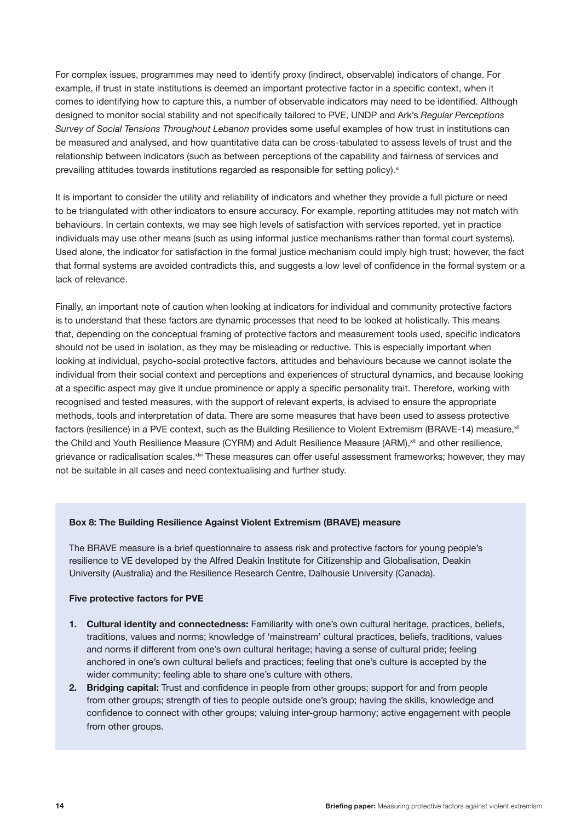For complex issues, programmes may need to identify proxy (indirect, observable) indicators of change. For example, if trust in state institutions is deemed an important protective factor in a specific context, when it comes to identifying how to capture this, a number of observable indicators may need to be identified. Although designed to monitor social stability and not specifically tailored to PVE, UNDP and Ark's *Regular Perceptions Survey of Social Tensions Throughout Lebanon* provides some useful examples of how trust in institutions can be measured and analysed, and how quantitative data can be cross-tabulated to assess levels of trust and the relationship between indicators (such as between perceptions of the capability and fairness of services and prevailing attitudes towards institutions regarded as responsible for setting policy). $x$ 

It is important to consider the utility and reliability of indicators and whether they provide a full picture or need to be triangulated with other indicators to ensure accuracy. For example, reporting attitudes may not match with behaviours. In certain contexts, we may see high levels of satisfaction with services reported, yet in practice individuals may use other means (such as using informal justice mechanisms rather than formal court systems). Used alone, the indicator for satisfaction in the formal justice mechanism could imply high trust; however, the fact that formal systems are avoided contradicts this, and suggests a low level of confidence in the formal system or a lack of relevance.

Finally, an important note of caution when looking at indicators for individual and community protective factors is to understand that these factors are dynamic processes that need to be looked at holistically. This means that, depending on the conceptual framing of protective factors and measurement tools used, specific indicators should not be used in isolation, as they may be misleading or reductive. This is especially important when looking at individual, psycho-social protective factors, attitudes and behaviours because we cannot isolate the individual from their social context and perceptions and experiences of structural dynamics, and because looking at a specific aspect may give it undue prominence or apply a specific personality trait. Therefore, working with recognised and tested measures, with the support of relevant experts, is advised to ensure the appropriate methods, tools and interpretation of data. There are some measures that have been used to assess protective factors (resilience) in a PVE context, such as the Building Resilience to Violent Extremism (BRAVE-14) measure, xii the Child and Youth Resilience Measure (CYRM) and Adult Resilience Measure (ARM), xlii and other resilience, grievance or radicalisation scales.<sup>xliii</sup> These measures can offer useful assessment frameworks; however, they may not be suitable in all cases and need contextualising and further study.

#### **Box 8: The Building Resilience Against Violent Extremism (BRAVE) measure**

The BRAVE measure is a brief questionnaire to assess risk and protective factors for young people's resilience to VE developed by the Alfred Deakin Institute for Citizenship and Globalisation, Deakin University (Australia) and the Resilience Research Centre, Dalhousie University (Canada).

#### **Five protective factors for PVE**

- **1. Cultural identity and connectedness:** Familiarity with one's own cultural heritage, practices, beliefs, traditions, values and norms; knowledge of 'mainstream' cultural practices, beliefs, traditions, values and norms if different from one's own cultural heritage; having a sense of cultural pride; feeling anchored in one's own cultural beliefs and practices; feeling that one's culture is accepted by the wider community; feeling able to share one's culture with others.
- **2. Bridging capital:** Trust and confidence in people from other groups; support for and from people from other groups; strength of ties to people outside one's group; having the skills, knowledge and confidence to connect with other groups; valuing inter-group harmony; active engagement with people from other groups.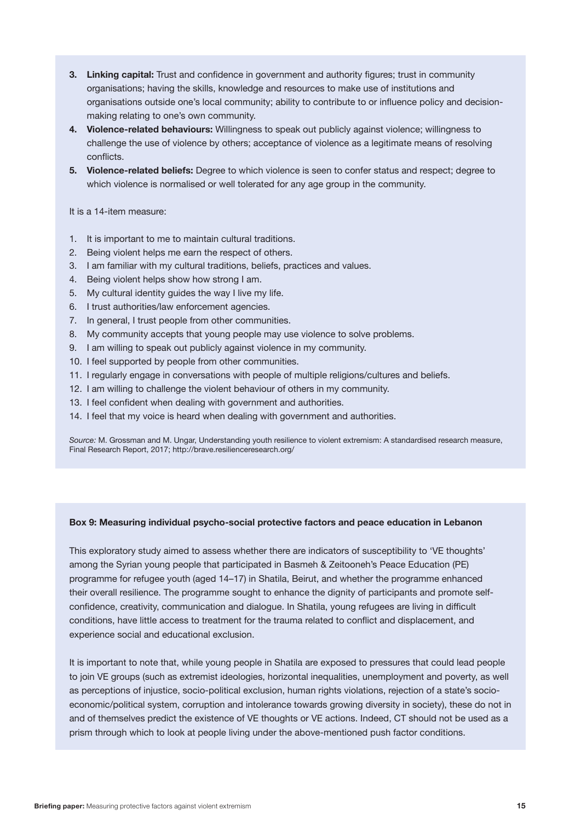- **3. Linking capital:** Trust and confidence in government and authority figures; trust in community organisations; having the skills, knowledge and resources to make use of institutions and organisations outside one's local community; ability to contribute to or influence policy and decisionmaking relating to one's own community.
- **4. Violence-related behaviours:** Willingness to speak out publicly against violence; willingness to challenge the use of violence by others; acceptance of violence as a legitimate means of resolving conflicts.
- **5. Violence-related beliefs:** Degree to which violence is seen to confer status and respect; degree to which violence is normalised or well tolerated for any age group in the community.

#### It is a 14-item measure:

- 1. It is important to me to maintain cultural traditions.
- 2. Being violent helps me earn the respect of others.
- 3. I am familiar with my cultural traditions, beliefs, practices and values.
- 4. Being violent helps show how strong I am.
- 5. My cultural identity guides the way I live my life.
- 6. I trust authorities/law enforcement agencies.
- 7. In general, I trust people from other communities.
- 8. My community accepts that young people may use violence to solve problems.
- 9. I am willing to speak out publicly against violence in my community.
- 10. I feel supported by people from other communities.
- 11. I regularly engage in conversations with people of multiple religions/cultures and beliefs.
- 12. I am willing to challenge the violent behaviour of others in my community.
- 13. I feel confident when dealing with government and authorities.
- 14. I feel that my voice is heard when dealing with government and authorities.

*Source:* M. Grossman and M. Ungar, Understanding youth resilience to violent extremism: A standardised research measure, Final Research Report, 2017; http://brave.resilienceresearch.org/

#### **Box 9: Measuring individual psycho-social protective factors and peace education in Lebanon**

This exploratory study aimed to assess whether there are indicators of susceptibility to 'VE thoughts' among the Syrian young people that participated in Basmeh & Zeitooneh's Peace Education (PE) programme for refugee youth (aged 14–17) in Shatila, Beirut, and whether the programme enhanced their overall resilience. The programme sought to enhance the dignity of participants and promote selfconfidence, creativity, communication and dialogue. In Shatila, young refugees are living in difficult conditions, have little access to treatment for the trauma related to conflict and displacement, and experience social and educational exclusion.

It is important to note that, while young people in Shatila are exposed to pressures that could lead people to join VE groups (such as extremist ideologies, horizontal inequalities, unemployment and poverty, as well as perceptions of injustice, socio-political exclusion, human rights violations, rejection of a state's socioeconomic/political system, corruption and intolerance towards growing diversity in society), these do not in and of themselves predict the existence of VE thoughts or VE actions. Indeed, CT should not be used as a prism through which to look at people living under the above-mentioned push factor conditions.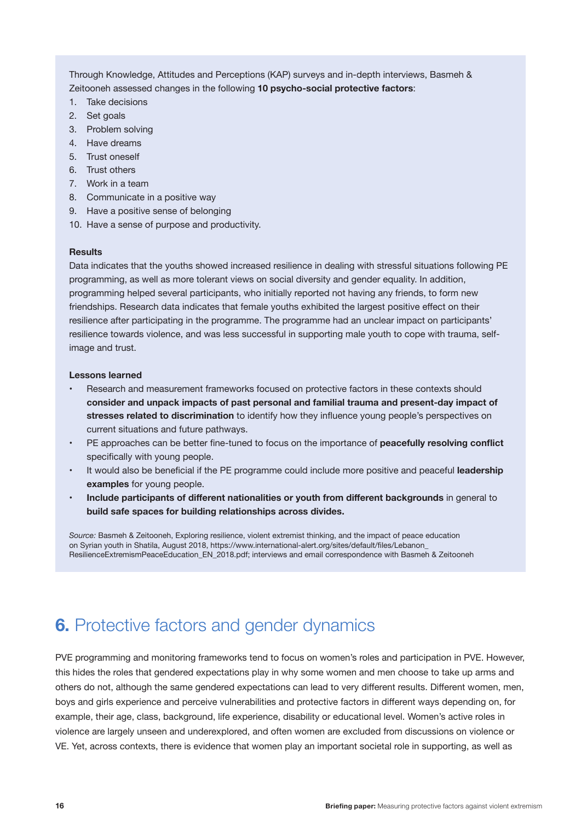Through Knowledge, Attitudes and Perceptions (KAP) surveys and in-depth interviews, Basmeh & Zeitooneh assessed changes in the following **10 psycho-social protective factors**:

- 1. Take decisions
- 2. Set goals
- 3. Problem solving
- 4. Have dreams
- 5. Trust oneself
- 6. Trust others
- 7. Work in a team
- 8. Communicate in a positive way
- 9. Have a positive sense of belonging
- 10. Have a sense of purpose and productivity.

#### **Results**

Data indicates that the youths showed increased resilience in dealing with stressful situations following PE programming, as well as more tolerant views on social diversity and gender equality. In addition, programming helped several participants, who initially reported not having any friends, to form new friendships. Research data indicates that female youths exhibited the largest positive effect on their resilience after participating in the programme. The programme had an unclear impact on participants' resilience towards violence, and was less successful in supporting male youth to cope with trauma, selfimage and trust.

#### **Lessons learned**

- Research and measurement frameworks focused on protective factors in these contexts should **consider and unpack impacts of past personal and familial trauma and present-day impact of stresses related to discrimination** to identify how they influence young people's perspectives on current situations and future pathways.
- PE approaches can be better fine-tuned to focus on the importance of **peacefully resolving conflict** specifically with young people.
- It would also be beneficial if the PE programme could include more positive and peaceful **leadership examples** for young people.
- **• Include participants of different nationalities or youth from different backgrounds** in general to **build safe spaces for building relationships across divides.**

*Source:* Basmeh & Zeitooneh, Exploring resilience, violent extremist thinking, and the impact of peace education on Syrian youth in Shatila, August 2018, [https://www.international-alert.org/sites/default/files/Lebanon\\_](https://www.international-alert.org/sites/default/files/Lebanon_ResilienceExtremismPeaceEducation_EN_2018.pdf) [ResilienceExtremismPeaceEducation\\_EN\\_2018.pdf](https://www.international-alert.org/sites/default/files/Lebanon_ResilienceExtremismPeaceEducation_EN_2018.pdf); interviews and email correspondence with Basmeh & Zeitooneh

# **6.** Protective factors and gender dynamics

PVE programming and monitoring frameworks tend to focus on women's roles and participation in PVE. However, this hides the roles that gendered expectations play in why some women and men choose to take up arms and others do not, although the same gendered expectations can lead to very different results. Different women, men, boys and girls experience and perceive vulnerabilities and protective factors in different ways depending on, for example, their age, class, background, life experience, disability or educational level. Women's active roles in violence are largely unseen and underexplored, and often women are excluded from discussions on violence or VE. Yet, across contexts, there is evidence that women play an important societal role in supporting, as well as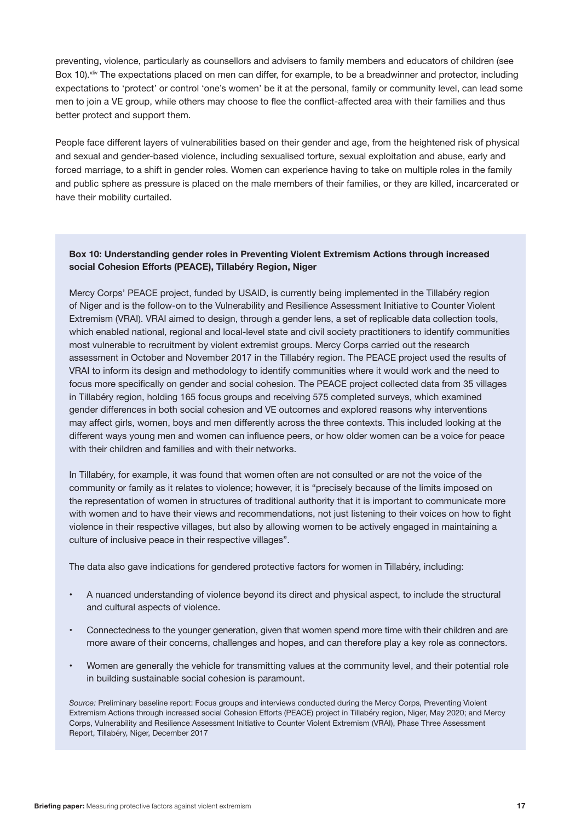preventing, violence, particularly as counsellors and advisers to family members and educators of children (see Box 10). XIIV The expectations placed on men can differ, for example, to be a breadwinner and protector, including expectations to 'protect' or control 'one's women' be it at the personal, family or community level, can lead some men to join a VE group, while others may choose to flee the conflict-affected area with their families and thus better protect and support them.

People face different layers of vulnerabilities based on their gender and age, from the heightened risk of physical and sexual and gender-based violence, including sexualised torture, sexual exploitation and abuse, early and forced marriage, to a shift in gender roles. Women can experience having to take on multiple roles in the family and public sphere as pressure is placed on the male members of their families, or they are killed, incarcerated or have their mobility curtailed.

#### **Box 10: Understanding gender roles in Preventing Violent Extremism Actions through increased social Cohesion Efforts (PEACE), Tillabéry Region, Niger**

Mercy Corps' PEACE project, funded by USAID, is currently being implemented in the Tillabéry region of Niger and is the follow-on to the Vulnerability and Resilience Assessment Initiative to Counter Violent Extremism (VRAI). VRAI aimed to design, through a gender lens, a set of replicable data collection tools, which enabled national, regional and local-level state and civil society practitioners to identify communities most vulnerable to recruitment by violent extremist groups. Mercy Corps carried out the research assessment in October and November 2017 in the Tillabéry region. The PEACE project used the results of VRAI to inform its design and methodology to identify communities where it would work and the need to focus more specifically on gender and social cohesion. The PEACE project collected data from 35 villages in Tillabéry region, holding 165 focus groups and receiving 575 completed surveys, which examined gender differences in both social cohesion and VE outcomes and explored reasons why interventions may affect girls, women, boys and men differently across the three contexts. This included looking at the different ways young men and women can influence peers, or how older women can be a voice for peace with their children and families and with their networks.

In Tillabéry, for example, it was found that women often are not consulted or are not the voice of the community or family as it relates to violence; however, it is "precisely because of the limits imposed on the representation of women in structures of traditional authority that it is important to communicate more with women and to have their views and recommendations, not just listening to their voices on how to fight violence in their respective villages, but also by allowing women to be actively engaged in maintaining a culture of inclusive peace in their respective villages".

The data also gave indications for gendered protective factors for women in Tillabéry, including:

- A nuanced understanding of violence beyond its direct and physical aspect, to include the structural and cultural aspects of violence.
- Connectedness to the younger generation, given that women spend more time with their children and are more aware of their concerns, challenges and hopes, and can therefore play a key role as connectors.
- Women are generally the vehicle for transmitting values at the community level, and their potential role in building sustainable social cohesion is paramount.

*Source:* Preliminary baseline report: Focus groups and interviews conducted during the Mercy Corps, Preventing Violent Extremism Actions through increased social Cohesion Efforts (PEACE) project in Tillabéry region, Niger, May 2020; and Mercy Corps, Vulnerability and Resilience Assessment Initiative to Counter Violent Extremism (VRAI), Phase Three Assessment Report, Tillabéry, Niger, December 2017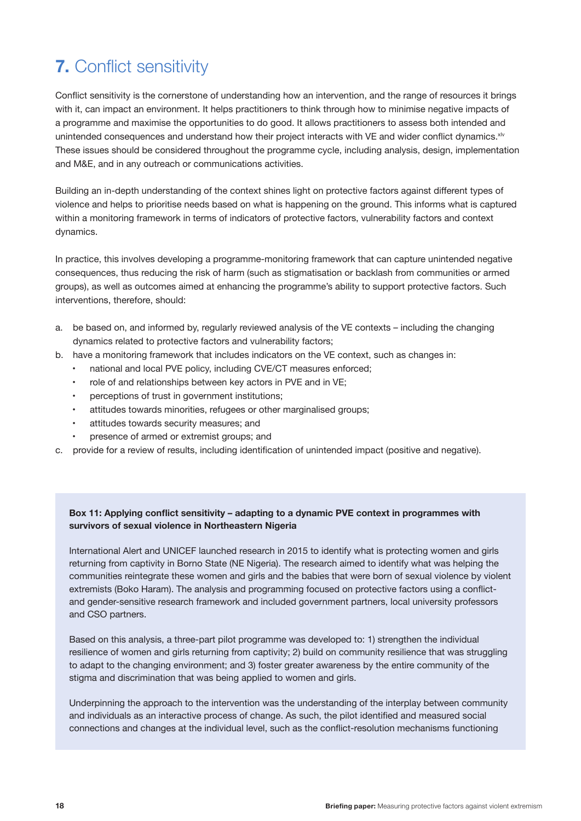# **7.** Conflict sensitivity

Conflict sensitivity is the cornerstone of understanding how an intervention, and the range of resources it brings with it, can impact an environment. It helps practitioners to think through how to minimise negative impacts of a programme and maximise the opportunities to do good. It allows practitioners to assess both intended and unintended consequences and understand how their project interacts with VE and wider conflict dynamics.<sup>xlv</sup> These issues should be considered throughout the programme cycle, including analysis, design, implementation and M&E, and in any outreach or communications activities.

Building an in-depth understanding of the context shines light on protective factors against different types of violence and helps to prioritise needs based on what is happening on the ground. This informs what is captured within a monitoring framework in terms of indicators of protective factors, vulnerability factors and context dynamics.

In practice, this involves developing a programme-monitoring framework that can capture unintended negative consequences, thus reducing the risk of harm (such as stigmatisation or backlash from communities or armed groups), as well as outcomes aimed at enhancing the programme's ability to support protective factors. Such interventions, therefore, should:

- a. be based on, and informed by, regularly reviewed analysis of the VE contexts including the changing dynamics related to protective factors and vulnerability factors;
- b. have a monitoring framework that includes indicators on the VE context, such as changes in:
	- national and local PVE policy, including CVE/CT measures enforced;
	- role of and relationships between key actors in PVE and in VE;
	- perceptions of trust in government institutions;
	- attitudes towards minorities, refugees or other marginalised groups;
	- attitudes towards security measures; and
	- presence of armed or extremist groups; and
- c. provide for a review of results, including identification of unintended impact (positive and negative).

#### **Box 11: Applying conflict sensitivity – adapting to a dynamic PVE context in programmes with survivors of sexual violence in Northeastern Nigeria**

International Alert and UNICEF launched research in 2015 to identify what is protecting women and girls returning from captivity in Borno State (NE Nigeria). The research aimed to identify what was helping the communities reintegrate these women and girls and the babies that were born of sexual violence by violent extremists (Boko Haram). The analysis and programming focused on protective factors using a conflictand gender-sensitive research framework and included government partners, local university professors and CSO partners.

Based on this analysis, a three-part pilot programme was developed to: 1) strengthen the individual resilience of women and girls returning from captivity; 2) build on community resilience that was struggling to adapt to the changing environment; and 3) foster greater awareness by the entire community of the stigma and discrimination that was being applied to women and girls.

Underpinning the approach to the intervention was the understanding of the interplay between community and individuals as an interactive process of change. As such, the pilot identified and measured social connections and changes at the individual level, such as the conflict-resolution mechanisms functioning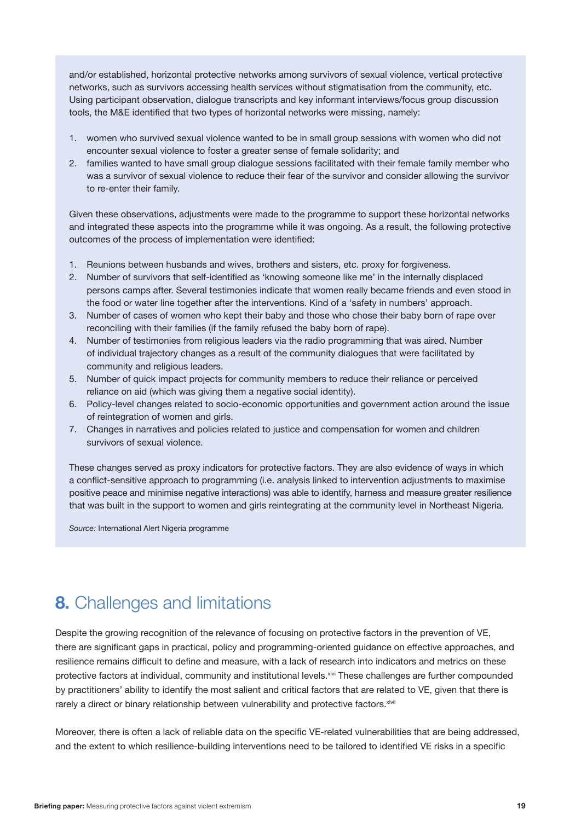and/or established, horizontal protective networks among survivors of sexual violence, vertical protective networks, such as survivors accessing health services without stigmatisation from the community, etc. Using participant observation, dialogue transcripts and key informant interviews/focus group discussion tools, the M&E identified that two types of horizontal networks were missing, namely:

- 1. women who survived sexual violence wanted to be in small group sessions with women who did not encounter sexual violence to foster a greater sense of female solidarity; and
- 2. families wanted to have small group dialogue sessions facilitated with their female family member who was a survivor of sexual violence to reduce their fear of the survivor and consider allowing the survivor to re-enter their family.

Given these observations, adjustments were made to the programme to support these horizontal networks and integrated these aspects into the programme while it was ongoing. As a result, the following protective outcomes of the process of implementation were identified:

- 1. Reunions between husbands and wives, brothers and sisters, etc. proxy for forgiveness.
- 2. Number of survivors that self-identified as 'knowing someone like me' in the internally displaced persons camps after. Several testimonies indicate that women really became friends and even stood in the food or water line together after the interventions. Kind of a 'safety in numbers' approach.
- 3. Number of cases of women who kept their baby and those who chose their baby born of rape over reconciling with their families (if the family refused the baby born of rape).
- 4. Number of testimonies from religious leaders via the radio programming that was aired. Number of individual trajectory changes as a result of the community dialogues that were facilitated by community and religious leaders.
- 5. Number of quick impact projects for community members to reduce their reliance or perceived reliance on aid (which was giving them a negative social identity).
- 6. Policy-level changes related to socio-economic opportunities and government action around the issue of reintegration of women and girls.
- 7. Changes in narratives and policies related to justice and compensation for women and children survivors of sexual violence.

These changes served as proxy indicators for protective factors. They are also evidence of ways in which a conflict-sensitive approach to programming (i.e. analysis linked to intervention adjustments to maximise positive peace and minimise negative interactions) was able to identify, harness and measure greater resilience that was built in the support to women and girls reintegrating at the community level in Northeast Nigeria.

*Source:* International Alert Nigeria programme

### **8.** Challenges and limitations

Despite the growing recognition of the relevance of focusing on protective factors in the prevention of VE, there are significant gaps in practical, policy and programming-oriented guidance on effective approaches, and resilience remains difficult to define and measure, with a lack of research into indicators and metrics on these protective factors at individual, community and institutional levels.<sup>xlvi</sup> These challenges are further compounded by practitioners' ability to identify the most salient and critical factors that are related to VE, given that there is rarely a direct or binary relationship between vulnerability and protective factors.<sup>xlvii</sup>

Moreover, there is often a lack of reliable data on the specific VE-related vulnerabilities that are being addressed, and the extent to which resilience-building interventions need to be tailored to identified VE risks in a specific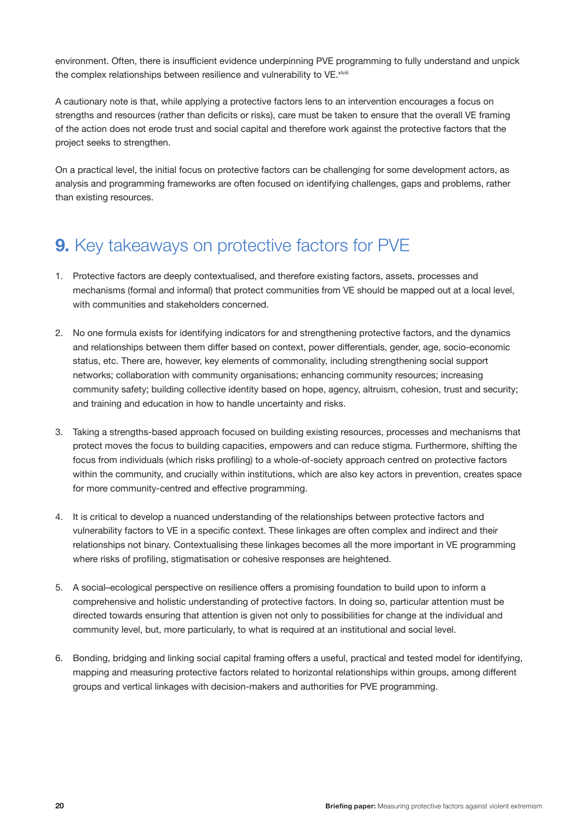environment. Often, there is insufficient evidence underpinning PVE programming to fully understand and unpick the complex relationships between resilience and vulnerability to VE. XIVIII

A cautionary note is that, while applying a protective factors lens to an intervention encourages a focus on strengths and resources (rather than deficits or risks), care must be taken to ensure that the overall VE framing of the action does not erode trust and social capital and therefore work against the protective factors that the project seeks to strengthen.

On a practical level, the initial focus on protective factors can be challenging for some development actors, as analysis and programming frameworks are often focused on identifying challenges, gaps and problems, rather than existing resources.

### **9.** Key takeaways on protective factors for PVE

- 1. Protective factors are deeply contextualised, and therefore existing factors, assets, processes and mechanisms (formal and informal) that protect communities from VE should be mapped out at a local level, with communities and stakeholders concerned.
- 2. No one formula exists for identifying indicators for and strengthening protective factors, and the dynamics and relationships between them differ based on context, power differentials, gender, age, socio-economic status, etc. There are, however, key elements of commonality, including strengthening social support networks; collaboration with community organisations; enhancing community resources; increasing community safety; building collective identity based on hope, agency, altruism, cohesion, trust and security; and training and education in how to handle uncertainty and risks.
- 3. Taking a strengths-based approach focused on building existing resources, processes and mechanisms that protect moves the focus to building capacities, empowers and can reduce stigma. Furthermore, shifting the focus from individuals (which risks profiling) to a whole-of-society approach centred on protective factors within the community, and crucially within institutions, which are also key actors in prevention, creates space for more community-centred and effective programming.
- 4. It is critical to develop a nuanced understanding of the relationships between protective factors and vulnerability factors to VE in a specific context. These linkages are often complex and indirect and their relationships not binary. Contextualising these linkages becomes all the more important in VE programming where risks of profiling, stigmatisation or cohesive responses are heightened.
- 5. A social–ecological perspective on resilience offers a promising foundation to build upon to inform a comprehensive and holistic understanding of protective factors. In doing so, particular attention must be directed towards ensuring that attention is given not only to possibilities for change at the individual and community level, but, more particularly, to what is required at an institutional and social level.
- 6. Bonding, bridging and linking social capital framing offers a useful, practical and tested model for identifying, mapping and measuring protective factors related to horizontal relationships within groups, among different groups and vertical linkages with decision-makers and authorities for PVE programming.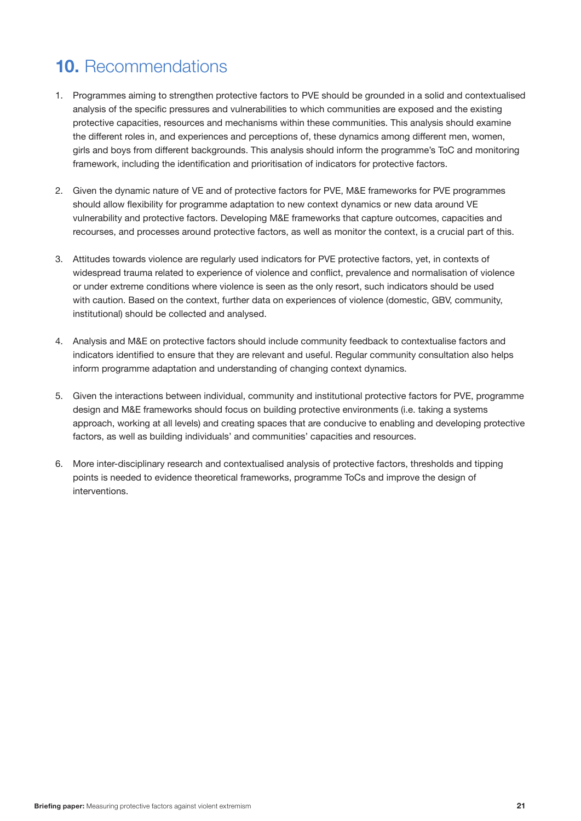# **10.** Recommendations

- 1. Programmes aiming to strengthen protective factors to PVE should be grounded in a solid and contextualised analysis of the specific pressures and vulnerabilities to which communities are exposed and the existing protective capacities, resources and mechanisms within these communities. This analysis should examine the different roles in, and experiences and perceptions of, these dynamics among different men, women, girls and boys from different backgrounds. This analysis should inform the programme's ToC and monitoring framework, including the identification and prioritisation of indicators for protective factors.
- 2. Given the dynamic nature of VE and of protective factors for PVE, M&E frameworks for PVE programmes should allow flexibility for programme adaptation to new context dynamics or new data around VE vulnerability and protective factors. Developing M&E frameworks that capture outcomes, capacities and recourses, and processes around protective factors, as well as monitor the context, is a crucial part of this.
- 3. Attitudes towards violence are regularly used indicators for PVE protective factors, yet, in contexts of widespread trauma related to experience of violence and conflict, prevalence and normalisation of violence or under extreme conditions where violence is seen as the only resort, such indicators should be used with caution. Based on the context, further data on experiences of violence (domestic, GBV, community, institutional) should be collected and analysed.
- 4. Analysis and M&E on protective factors should include community feedback to contextualise factors and indicators identified to ensure that they are relevant and useful. Regular community consultation also helps inform programme adaptation and understanding of changing context dynamics.
- 5. Given the interactions between individual, community and institutional protective factors for PVE, programme design and M&E frameworks should focus on building protective environments (i.e. taking a systems approach, working at all levels) and creating spaces that are conducive to enabling and developing protective factors, as well as building individuals' and communities' capacities and resources.
- 6. More inter-disciplinary research and contextualised analysis of protective factors, thresholds and tipping points is needed to evidence theoretical frameworks, programme ToCs and improve the design of interventions.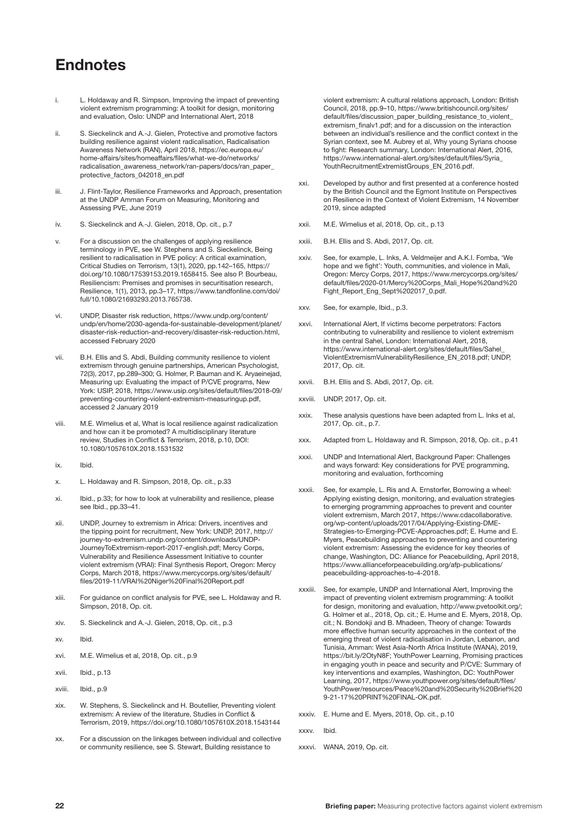### **Endnotes**

- i. L. Holdaway and R. Simpson, Improving the impact of preventing violent extremism programming: A toolkit for design, monitoring and evaluation, Oslo: UNDP and International Alert, 2018
- ii. S. Sieckelinck and A.-J. Gielen, Protective and promotive factors building resilience against violent radicalisation, Radicalisation Awareness Network (RAN), April 2018, [https://ec.europa.eu/](https://ec.europa.eu/home-affairs/sites/homeaffairs/files/what-we-do/networks/radicalisation_awareness_network/ran-papers/docs/ran_paper_protective_factors_042018_en.pdf) [home-affairs/sites/homeaffairs/files/what-we-do/networks/](https://ec.europa.eu/home-affairs/sites/homeaffairs/files/what-we-do/networks/radicalisation_awareness_network/ran-papers/docs/ran_paper_protective_factors_042018_en.pdf) [radicalisation\\_awareness\\_network/ran-papers/docs/ran\\_paper\\_](https://ec.europa.eu/home-affairs/sites/homeaffairs/files/what-we-do/networks/radicalisation_awareness_network/ran-papers/docs/ran_paper_protective_factors_042018_en.pdf) [protective\\_factors\\_042018\\_en.pdf](https://ec.europa.eu/home-affairs/sites/homeaffairs/files/what-we-do/networks/radicalisation_awareness_network/ran-papers/docs/ran_paper_protective_factors_042018_en.pdf)
- iii. J. Flint-Taylor, Resilience Frameworks and Approach, presentation at the UNDP Amman Forum on Measuring, Monitoring and Assessing PVE, June 2019
- iv. S. Sieckelinck and A.-J. Gielen, 2018, Op. cit., p.7
- v. For a discussion on the challenges of applying resilience terminology in PVE, see W. Stephens and S. Sieckelinck, Being resilient to radicalisation in PVE policy: A critical examination, Critical Studies on Terrorism, 13(1), 2020, pp.142–165, https:// doi.org/10.1080/17539153.2019.1658415. See also P. Bourbeau, Resiliencism: Premises and promises in securitisation research, Resilience, 1(1), 2013, pp.3–17, [https://www.tandfonline.com/doi/](https://www.tandfonline.com/doi/full/10.1080/21693293.2013.765738) [full/10.1080/21693293.2013.765738.](https://www.tandfonline.com/doi/full/10.1080/21693293.2013.765738)
- vi. UNDP, Disaster risk reduction, [https://www.undp.org/content/](https://www.undp.org/content/undp/en/home/2030-agenda-for-sustainable-development/planet/disaster-risk-reduction-and-recovery/disaster-risk-reduction.html) [undp/en/home/2030-agenda-for-sustainable-development/planet/](https://www.undp.org/content/undp/en/home/2030-agenda-for-sustainable-development/planet/disaster-risk-reduction-and-recovery/disaster-risk-reduction.html) [disaster-risk-reduction-and-recovery/disaster-risk-reduction.html](https://www.undp.org/content/undp/en/home/2030-agenda-for-sustainable-development/planet/disaster-risk-reduction-and-recovery/disaster-risk-reduction.html), accessed February 2020
- vii. B.H. Ellis and S. Abdi, Building community resilience to violent extremism through genuine partnerships, American Psychologist, 72(3), 2017, pp.289–300; G. Holmer, P. Bauman and K. Aryaeinejad, Measuring up: Evaluating the impact of P/CVE programs, New York: USIP, 2018, [https://www.usip.org/sites/default/files/2018-09/](https://www.usip.org/sites/default/files/2018-09/preventing-countering-violent-extremism-measuringup.pdf) [preventing-countering-violent-extremism-measuringup.pdf](https://www.usip.org/sites/default/files/2018-09/preventing-countering-violent-extremism-measuringup.pdf), accessed 2 January 2019
- viii. M.E. Wimelius et al, What is local resilience against radicalization and how can it be promoted? A multidisciplinary literature review, Studies in Conflict & Terrorism, 2018, p.10, DOI: 10.1080/1057610X.2018.1531532
- ix. Ibid.
- x. L. Holdaway and R. Simpson, 2018, Op. cit., p.33
- xi. Ibid., p.33; for how to look at vulnerability and resilience, please see Ibid., pp.33–41.
- xii. UNDP, Journey to extremism in Africa: Drivers, incentives and the tipping point for recruitment, New York: UNDP, 2017, http:// journey-to-extremism.undp.org/content/downloads/UNDP-JourneyToExtremism-report-2017-english.pdf; Mercy Corps, Vulnerability and Resilience Assessment Initiative to counter violent extremism (VRAI): Final Synthesis Report, Oregon: Mercy Corps, March 2018, [https://www.mercycorps.org/sites/default/](https://www.mercycorps.org/sites/default/files/2019-11/VRAI%20Niger%20Final%20Report.pdf) [files/2019-11/VRAI%20Niger%20Final%20Report.pdf](https://www.mercycorps.org/sites/default/files/2019-11/VRAI%20Niger%20Final%20Report.pdf)
- xiii. For guidance on conflict analysis for PVE, see L. Holdaway and R. Simpson, 2018, Op. cit.
- xiv. S. Sieckelinck and A.-J. Gielen, 2018, Op. cit., p.3
- xv. Ibid.
- xvi. M.E. Wimelius et al, 2018, Op. cit., p.9
- xvii. Ibid., p.13
- xviii. Ibid., p.9
- xix. W. Stephens, S. Sieckelinck and H. Boutellier, Preventing violent extremism: A review of the literature, Studies in Conflict & Terrorism, 2019, https://doi.org/10.1080/1057610X.2018.1543144
- xx. For a discussion on the linkages between individual and collective or community resilience, see S. Stewart, Building resistance to

violent extremism: A cultural relations approach, London: British Council, 2018, pp.9–10, [https://www.britishcouncil.org/sites/](https://www.britishcouncil.org/sites/default/files/discussion_paper_building_resistance_to_violent_extremism_finalv1.pdf) [default/files/discussion\\_paper\\_building\\_resistance\\_to\\_violent\\_](https://www.britishcouncil.org/sites/default/files/discussion_paper_building_resistance_to_violent_extremism_finalv1.pdf) [extremism\\_finalv1.pdf](https://www.britishcouncil.org/sites/default/files/discussion_paper_building_resistance_to_violent_extremism_finalv1.pdf); and for a discussion on the interaction between an individual's resilience and the conflict context in the Syrian context, see M. Aubrey et al, Why young Syrians choose to fight: Research summary, London: International Alert, 2016, [https://www.international-alert.org/sites/default/files/Syria\\_](https://www.international-alert.org/sites/default/files/Syria_YouthRecruitmentExtremistGroups_EN_2016.pdf) [YouthRecruitmentExtremistGroups\\_EN\\_2016.pdf](https://www.international-alert.org/sites/default/files/Syria_YouthRecruitmentExtremistGroups_EN_2016.pdf).

- xxi. Developed by author and first presented at a conference hosted by the British Council and the Egmont Institute on Perspectives on Resilience in the Context of Violent Extremism, 14 November 2019, since adapted
- xxii. M.E. Wimelius et al, 2018, Op. cit., p.13
- xxiii. B.H. Ellis and S. Abdi, 2017, Op. cit.
- xxiv. See, for example, L. Inks, A. Veldmeijer and A.K.I. Fomba, 'We hope and we fight': Youth, communities, and violence in Mali, Oregon: Mercy Corps, 2017, [https://www.mercycorps.org/sites/](https://www.mercycorps.org/sites/default/files/2020-01/Mercy%20Corps_Mali_Hope%20and%20Fight_Report_Eng_Sept%202017_0.pdf) [default/files/2020-01/Mercy%20Corps\\_Mali\\_Hope%20and%20](https://www.mercycorps.org/sites/default/files/2020-01/Mercy%20Corps_Mali_Hope%20and%20Fight_Report_Eng_Sept%202017_0.pdf) [Fight\\_Report\\_Eng\\_Sept%202017\\_0.pdf](https://www.mercycorps.org/sites/default/files/2020-01/Mercy%20Corps_Mali_Hope%20and%20Fight_Report_Eng_Sept%202017_0.pdf).
- xxv. See, for example, Ibid., p.3.
- xxvi. International Alert, If victims become perpetrators: Factors contributing to vulnerability and resilience to violent extremism in the central Sahel, London: International Alert, 2018, [https://www.international-alert.org/sites/default/files/Sahel\\_](https://www.international-alert.org/sites/default/files/Sahel_ViolentExtremismVulnerabilityResilience_EN_2018.pdf) [ViolentExtremismVulnerabilityResilience\\_EN\\_2018.pdf](https://www.international-alert.org/sites/default/files/Sahel_ViolentExtremismVulnerabilityResilience_EN_2018.pdf); UNDP, 2017, Op. cit.
- xxvii. B.H. Ellis and S. Abdi, 2017, Op. cit.
- xxviii. UNDP, 2017, Op. cit.
- xxix. These analysis questions have been adapted from L. Inks et al, 2017, Op. cit., p.7.
- xxx. Adapted from L. Holdaway and R. Simpson, 2018, Op. cit., p.41
- xxxi. UNDP and International Alert, Background Paper: Challenges and ways forward: Key considerations for PVE programming, monitoring and evaluation, forthcoming
- xxxii. See, for example, L. Ris and A. Ernstorfer, Borrowing a wheel: Applying existing design, monitoring, and evaluation strategies to emerging programming approaches to prevent and counter violent extremism, March 2017, [https://www.cdacollaborative.](https://www.cdacollaborative.org/wp-content/uploads/2017/04/Applying-Existing-DME-Strategies-to-Emerging-PCVE-Approaches.pdf) [org/wp-content/uploads/2017/04/Applying-Existing-DME-](https://www.cdacollaborative.org/wp-content/uploads/2017/04/Applying-Existing-DME-Strategies-to-Emerging-PCVE-Approaches.pdf)[Strategies-to-Emerging-PCVE-Approaches.pdf](https://www.cdacollaborative.org/wp-content/uploads/2017/04/Applying-Existing-DME-Strategies-to-Emerging-PCVE-Approaches.pdf); E. Hume and E. Myers, Peacebuilding approaches to preventing and countering violent extremism: Assessing the evidence for key theories of change, Washington, DC: Alliance for Peacebuilding, April 2018, [https://www.allianceforpeacebuilding.org/afp-publications/](https://www.allianceforpeacebuilding.org/afp-publications/peacebuilding-approaches-to-4-2018) [peacebuilding-approaches-to-4-2018](https://www.allianceforpeacebuilding.org/afp-publications/peacebuilding-approaches-to-4-2018).
- xxxiii. See, for example, UNDP and International Alert, Improving the impact of preventing violent extremism programming: A toolkit for design, monitoring and evaluation, http://www.pvetoolkit.org/; G. Holmer et al., 2018, Op. cit.; E. Hume and E. Myers, 2018, Op. cit.; N. Bondokji and B. Mhadeen, Theory of change: Towards more effective human security approaches in the context of the emerging threat of violent radicalisation in Jordan, Lebanon, and Tunisia, Amman: West Asia-North Africa Institute (WANA), 2019, https://bit.ly/2OtyN8F; YouthPower Learning, Promising practices in engaging youth in peace and security and P/CVE: Summary of key interventions and examples, Washington, DC: YouthPower Learning, 2017, [https://www.youthpower.org/sites/default/files/](https://www.youthpower.org/sites/default/files/YouthPower/resources/Peace%20and%20Security%20Brief%209-21-17%20PRINT%20FINAL-OK.pdf) [YouthPower/resources/Peace%20and%20Security%20Brief%20](https://www.youthpower.org/sites/default/files/YouthPower/resources/Peace%20and%20Security%20Brief%209-21-17%20PRINT%20FINAL-OK.pdf) [9-21-17%20PRINT%20FINAL-OK.pdf](https://www.youthpower.org/sites/default/files/YouthPower/resources/Peace%20and%20Security%20Brief%209-21-17%20PRINT%20FINAL-OK.pdf).
- xxxiv. E. Hume and E. Myers, 2018, Op. cit., p.10
- xxxv. Ibid.
- xxxvi. WANA, 2019, Op. cit.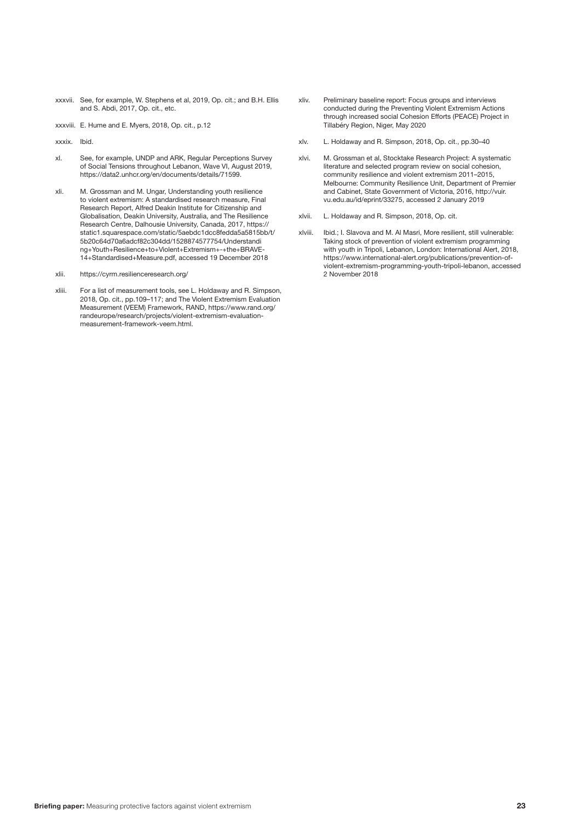xxxvii. See, for example, W. Stephens et al, 2019, Op. cit.; and B.H. Ellis and S. Abdi, 2017, Op. cit., etc.

xxxviii. E. Hume and E. Myers, 2018, Op. cit., p.12

xxxix. Ibid.

- xl. See, for example, UNDP and ARK, Regular Perceptions Survey of Social Tensions throughout Lebanon, Wave VI, August 2019, <https://data2.unhcr.org/en/documents/details/71599>.
- xli. M. Grossman and M. Ungar, Understanding youth resilience to violent extremism: A standardised research measure, Final Research Report, Alfred Deakin Institute for Citizenship and Globalisation, Deakin University, Australia, and The Resilience Research Centre, Dalhousie University, Canada, 2017, [https://](https://static1.squarespace.com/static/5aebdc1dcc8fedda5a5815bb/t/5b20c64d70a6adcf82c304dd/1528874577754/Understanding+Youth+Resilience+to+Violent+Extremism+-+the+BRAVE-14+Standardised+Measure.pdf) [static1.squarespace.com/static/5aebdc1dcc8fedda5a5815bb/t/](https://static1.squarespace.com/static/5aebdc1dcc8fedda5a5815bb/t/5b20c64d70a6adcf82c304dd/1528874577754/Understanding+Youth+Resilience+to+Violent+Extremism+-+the+BRAVE-14+Standardised+Measure.pdf) [5b20c64d70a6adcf82c304dd/1528874577754/Understandi](https://static1.squarespace.com/static/5aebdc1dcc8fedda5a5815bb/t/5b20c64d70a6adcf82c304dd/1528874577754/Understanding+Youth+Resilience+to+Violent+Extremism+-+the+BRAVE-14+Standardised+Measure.pdf) [ng+Youth+Resilience+to+Violent+Extremism+-+the+BRAVE-](https://static1.squarespace.com/static/5aebdc1dcc8fedda5a5815bb/t/5b20c64d70a6adcf82c304dd/1528874577754/Understanding+Youth+Resilience+to+Violent+Extremism+-+the+BRAVE-14+Standardised+Measure.pdf)[14+Standardised+Measure.pdf](https://static1.squarespace.com/static/5aebdc1dcc8fedda5a5815bb/t/5b20c64d70a6adcf82c304dd/1528874577754/Understanding+Youth+Resilience+to+Violent+Extremism+-+the+BRAVE-14+Standardised+Measure.pdf), accessed 19 December 2018

xlii. https://cyrm.resilienceresearch.org/

xliii. For a list of measurement tools, see L. Holdaway and R. Simpson, 2018, Op. cit., pp.109–117; and The Violent Extremism Evaluation Measurement (VEEM) Framework, RAND, [https://www.rand.org/](https://www.rand.org/randeurope/research/projects/violent-extremism-evaluation-measurement-framework-veem.html) [randeurope/research/projects/violent-extremism-evaluation](https://www.rand.org/randeurope/research/projects/violent-extremism-evaluation-measurement-framework-veem.html)[measurement-framework-veem.html](https://www.rand.org/randeurope/research/projects/violent-extremism-evaluation-measurement-framework-veem.html).

- xliv. Preliminary baseline report: Focus groups and interviews conducted during the Preventing Violent Extremism Actions through increased social Cohesion Efforts (PEACE) Project in Tillabéry Region, Niger, May 2020
- xlv. L. Holdaway and R. Simpson, 2018, Op. cit., pp.30–40
- xlvi. M. Grossman et al, Stocktake Research Project: A systematic literature and selected program review on social cohesion, community resilience and violent extremism 2011–2015, Melbourne: Community Resilience Unit, Department of Premier and Cabinet, State Government of Victoria, 2016, [http://vuir.](http://vuir.vu.edu.au/33275/) [vu.edu.au/id/eprint/33275](http://vuir.vu.edu.au/33275/), accessed 2 January 2019
- xlvii. L. Holdaway and R. Simpson, 2018, Op. cit.
- xlviii. Ibid.; I. Slavova and M. Al Masri, More resilient, still vulnerable: Taking stock of prevention of violent extremism programming with youth in Tripoli, Lebanon, London: International Alert, 2018, https://www.international-alert.org/publications/prevention-ofviolent-extremism-programming-youth-tripoli-lebanon, accessed 2 November 2018